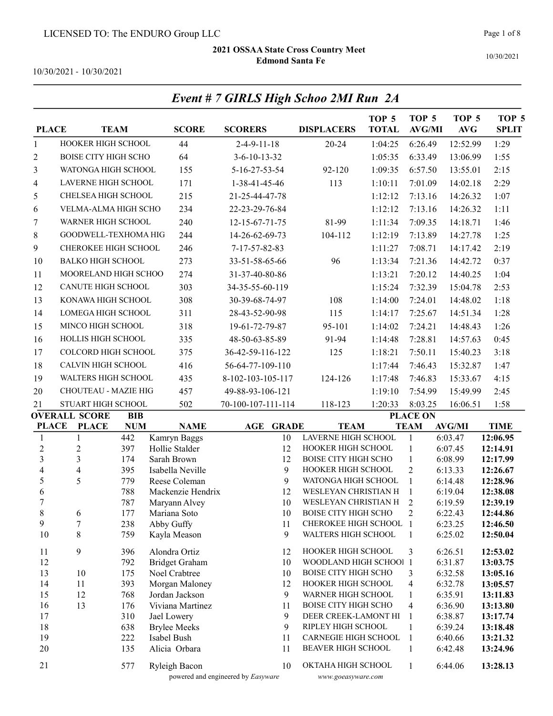Event # 7 GIRLS High Schoo 2MI Run 2A

Page 1 of 8

10/30/2021

10/30/2021 - 10/30/2021

| <b>PLACE</b>            |                                                          | <b>TEAM</b> | <b>SCORE</b>                       | <b>SCORERS</b>                     |          | <b>DISPLACERS</b>                           | TOP <sub>5</sub><br><b>TOTAL</b> | TOP <sub>5</sub><br><b>AVG/MI</b> | TOP <sub>5</sub><br><b>AVG</b> | TOP <sub>5</sub><br><b>SPLIT</b> |
|-------------------------|----------------------------------------------------------|-------------|------------------------------------|------------------------------------|----------|---------------------------------------------|----------------------------------|-----------------------------------|--------------------------------|----------------------------------|
| $\mathbf{1}$            | HOOKER HIGH SCHOOL                                       |             | 44                                 | $2-4-9-11-18$                      |          | $20 - 24$                                   | 1:04:25                          | 6:26.49                           | 12:52.99                       | 1:29                             |
| $\overline{2}$          | <b>BOISE CITY HIGH SCHO</b>                              |             | 64                                 | $3 - 6 - 10 - 13 - 32$             |          |                                             | 1:05:35                          | 6:33.49                           | 13:06.99                       | 1:55                             |
| 3                       | WATONGA HIGH SCHOOL                                      |             | 155                                | 5-16-27-53-54                      |          | 92-120                                      | 1:09:35                          | 6:57.50                           | 13:55.01                       | 2:15                             |
| $\overline{4}$          | <b>LAVERNE HIGH SCHOOL</b>                               |             | 171                                | 1-38-41-45-46                      |          | 113                                         | 1:10:11                          | 7:01.09                           | 14:02.18                       | 2:29                             |
| 5                       | CHELSEA HIGH SCHOOL                                      |             | 215                                | 21-25-44-47-78                     |          |                                             | 1:12:12                          | 7:13.16                           | 14:26.32                       | 1:07                             |
| 6                       | VELMA-ALMA HIGH SCHO                                     |             | 234                                | 22-23-29-76-84                     |          |                                             | 1:12:12                          | 7:13.16                           | 14:26.32                       | 1:11                             |
| 7                       | WARNER HIGH SCHOOL                                       |             | 240                                | 12-15-67-71-75                     |          | 81-99                                       | 1:11:34                          | 7:09.35                           | 14:18.71                       | 1:46                             |
| 8                       | GOODWELL-TEXHOMA HIG                                     |             | 244                                | 14-26-62-69-73                     |          | 104-112                                     | 1:12:19                          | 7:13.89                           | 14:27.78                       | 1:25                             |
|                         | CHEROKEE HIGH SCHOOL                                     |             |                                    |                                    |          |                                             |                                  |                                   |                                |                                  |
| 9                       |                                                          |             | 246                                | 7-17-57-82-83                      |          |                                             | 1:11:27                          | 7:08.71                           | 14:17.42                       | 2:19                             |
| 10                      | <b>BALKO HIGH SCHOOL</b>                                 |             | 273                                | 33-51-58-65-66                     |          | 96                                          | 1:13:34                          | 7:21.36                           | 14:42.72                       | 0:37                             |
| 11                      | MOORELAND HIGH SCHOO                                     |             | 274                                | 31-37-40-80-86                     |          |                                             | 1:13:21                          | 7:20.12                           | 14:40.25                       | 1:04                             |
| 12                      | <b>CANUTE HIGH SCHOOL</b>                                |             | 303                                | 34-35-55-60-119                    |          |                                             | 1:15:24                          | 7:32.39                           | 15:04.78                       | 2:53                             |
| 13                      | KONAWA HIGH SCHOOL                                       |             | 308                                | 30-39-68-74-97                     |          | 108                                         | 1:14:00                          | 7:24.01                           | 14:48.02                       | 1:18                             |
| 14                      | LOMEGA HIGH SCHOOL                                       |             | 311                                | 28-43-52-90-98                     |          | 115                                         | 1:14:17                          | 7:25.67                           | 14:51.34                       | 1:28                             |
| 15                      | MINCO HIGH SCHOOL                                        |             | 318                                | 19-61-72-79-87                     |          | 95-101                                      | 1:14:02                          | 7:24.21                           | 14:48.43                       | 1:26                             |
| 16                      | HOLLIS HIGH SCHOOL                                       |             | 335                                | 48-50-63-85-89                     |          | 91-94                                       | 1:14:48                          | 7:28.81                           | 14:57.63                       | 0:45                             |
| 17                      | COLCORD HIGH SCHOOL                                      |             | 375                                | 36-42-59-116-122                   |          | 125                                         | 1:18:21                          | 7:50.11                           | 15:40.23                       | 3:18                             |
| $18\,$                  | CALVIN HIGH SCHOOL                                       |             | 416                                | 56-64-77-109-110                   |          |                                             | 1:17:44                          | 7:46.43                           | 15:32.87                       | 1:47                             |
| 19                      | WALTERS HIGH SCHOOL                                      |             | 435                                | 8-102-103-105-117                  |          | 124-126                                     | 1:17:48                          | 7:46.83                           | 15:33.67                       | 4:15                             |
| 20                      | CHOUTEAU - MAZIE HIG                                     |             | 457                                | 49-88-93-106-121                   |          |                                             | 1:19:10                          | 7:54.99                           | 15:49.99                       | 2:45                             |
| 21                      |                                                          |             | 502                                | 70-100-107-111-114                 |          | 118-123                                     | 1:20:33                          | 8:03.25                           | 16:06.51                       | 1:58                             |
|                         | STUART HIGH SCHOOL<br><b>OVERALL SCORE</b><br><b>BIB</b> |             |                                    |                                    |          |                                             |                                  | <b>PLACE ON</b>                   |                                |                                  |
| <b>PLACE</b>            | <b>PLACE</b>                                             | <b>NUM</b>  | <b>NAME</b>                        | <b>AGE GRADE</b>                   |          | <b>TEAM</b>                                 |                                  | <b>TEAM</b>                       | <b>AVG/MI</b>                  | <b>TIME</b>                      |
| 1                       | $\mathbf{1}$                                             | 442         | Kamryn Baggs                       |                                    | 10       | <b>LAVERNE HIGH SCHOOL</b>                  |                                  | $\mathbf{1}$                      | 6:03.47                        | 12:06.95                         |
| $\sqrt{2}$              | $\mathfrak{2}$                                           | 397         | Hollie Stalder                     |                                    | 12       | HOOKER HIGH SCHOOL                          |                                  | $\mathbf{1}$                      | 6:07.45                        | 12:14.91                         |
| $\mathfrak{Z}$          | $\overline{3}$                                           | 174         | Sarah Brown                        |                                    | 12       | BOISE CITY HIGH SCHO                        |                                  | $\mathbf{1}$                      | 6:08.99                        | 12:17.99                         |
| $\overline{\mathbf{4}}$ | $\overline{\mathbf{4}}$                                  | 395         | Isabella Neville                   |                                    | 9        | HOOKER HIGH SCHOOL                          |                                  | $\overline{2}$                    | 6:13.33                        | 12:26.67                         |
| 5                       | 5                                                        | 779         | Reese Coleman                      |                                    | 9        | WATONGA HIGH SCHOOL<br>WESLEYAN CHRISTIAN H |                                  | $\mathbf{1}$                      | 6:14.48                        | 12:28.96                         |
| 6<br>$\overline{7}$     |                                                          | 788<br>787  | Mackenzie Hendrix<br>Maryann Alvey |                                    | 12<br>10 | WESLEYAN CHRISTIAN H                        |                                  | $\mathbf{1}$<br>2                 | 6:19.04<br>6:19.59             | 12:38.08<br>12:39.19             |
| 8                       | 6                                                        | 177         | Mariana Soto                       |                                    | 10       | BOISE CITY HIGH SCHO                        |                                  | $\overline{2}$                    | 6:22.43                        | 12:44.86                         |
| 9                       | 7                                                        | 238         | Abby Guffy                         |                                    | 11       | CHEROKEE HIGH SCHOOL 1                      |                                  |                                   | 6:23.25                        | 12:46.50                         |
| 10                      | $8\,$                                                    | 759         | Kayla Meason                       |                                    | 9        | WALTERS HIGH SCHOOL                         |                                  | 1                                 | 6:25.02                        | 12:50.04                         |
| 11                      | 9                                                        | 396         | Alondra Ortiz                      |                                    | 12       | HOOKER HIGH SCHOOL                          |                                  | 3                                 | 6:26.51                        | 12:53.02                         |
| 12                      |                                                          | 792         | <b>Bridget Graham</b>              |                                    | 10       | WOODLAND HIGH SCHOOI 1                      |                                  |                                   | 6:31.87                        | 13:03.75                         |
| 13                      | 10                                                       | 175         | Noel Crabtree                      |                                    | 10       | BOISE CITY HIGH SCHO                        |                                  | 3                                 | 6:32.58                        | 13:05.16                         |
| 14                      | 11                                                       | 393         | Morgan Maloney                     |                                    | 12       | HOOKER HIGH SCHOOL<br>WARNER HIGH SCHOOL    |                                  | 4                                 | 6:32.78                        | 13:05.57                         |
| 15<br>16                | 12<br>13                                                 | 768<br>176  | Jordan Jackson<br>Viviana Martinez |                                    | 9<br>11  | <b>BOISE CITY HIGH SCHO</b>                 |                                  | $\mathbf{1}$<br>4                 | 6:35.91<br>6:36.90             | 13:11.83<br>13:13.80             |
| 17                      |                                                          | 310         | Jael Lowery                        |                                    | 9        | DEER CREEK-LAMONT HI                        |                                  | -1                                | 6:38.87                        | 13:17.74                         |
| 18                      |                                                          | 638         | <b>Brylee Meeks</b>                |                                    | 9        | RIPLEY HIGH SCHOOL                          |                                  | 1                                 | 6:39.24                        | 13:18.48                         |
| 19                      |                                                          | 222         | Isabel Bush                        |                                    | 11       | <b>CARNEGIE HIGH SCHOOL</b>                 |                                  | $\mathbf{1}$                      | 6:40.66                        | 13:21.32                         |
| 20                      |                                                          | 135         | Alicia Orbara                      |                                    | 11       | BEAVER HIGH SCHOOL                          |                                  | 1                                 | 6:42.48                        | 13:24.96                         |
| 21                      |                                                          | 577         | Ryleigh Bacon                      | powered and engineered by Easyware | 10       | OKTAHA HIGH SCHOOL<br>www.goeasyware.com    |                                  | 1                                 | 6:44.06                        | 13:28.13                         |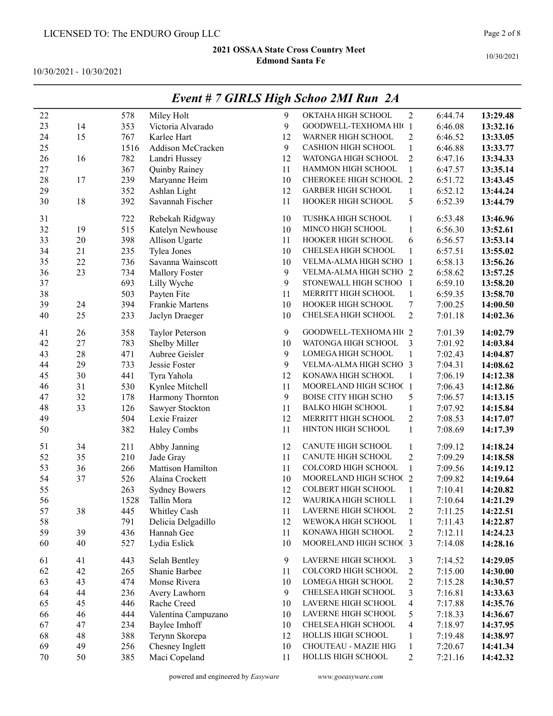10/30/2021 - 10/30/2021

|        |        |      |                        |    | $L$ <i>rent</i> $\pi$ / <b>GIALS</b> $H$ $g$ <sup><math>n</math></sup> $S$ <i>choo</i> $2m$ <i>i</i> Ann $2\pi$ |                          |         |          |
|--------|--------|------|------------------------|----|-----------------------------------------------------------------------------------------------------------------|--------------------------|---------|----------|
| 22     |        | 578  | Miley Holt             | 9  | OKTAHA HIGH SCHOOL                                                                                              | $\overline{2}$           | 6:44.74 | 13:29.48 |
| 23     | 14     | 353  | Victoria Alvarado      | 9  | GOODWELL-TEXHOMA HI(1                                                                                           |                          | 6:46.08 | 13:32.16 |
| 24     | 15     | 767  | Karlee Hart            | 12 | WARNER HIGH SCHOOL                                                                                              | $\mathfrak{2}$           | 6:46.52 | 13:33.05 |
| 25     |        | 1516 | Addison McCracken      | 9  | <b>CASHION HIGH SCHOOL</b>                                                                                      | $\mathbf{1}$             | 6:46.88 | 13:33.77 |
| 26     | 16     | 782  | Landri Hussey          | 12 | WATONGA HIGH SCHOOL                                                                                             | $\overline{c}$           | 6:47.16 | 13:34.33 |
| $27\,$ |        | 367  | Quinby Rainey          | 11 | HAMMON HIGH SCHOOL                                                                                              | $\mathbf{1}$             | 6:47.57 | 13:35.14 |
| 28     | 17     | 239  | Maryanne Heim          | 10 | CHEROKEE HIGH SCHOOL 2                                                                                          |                          | 6:51.72 | 13:43.45 |
| 29     |        | 352  | Ashlan Light           | 12 | <b>GARBER HIGH SCHOOL</b>                                                                                       | $\mathbf{1}$             | 6:52.12 | 13:44.24 |
| 30     | $18\,$ | 392  | Savannah Fischer       | 11 | HOOKER HIGH SCHOOL                                                                                              | 5                        | 6:52.39 | 13:44.79 |
| 31     |        | 722  | Rebekah Ridgway        | 10 | TUSHKA HIGH SCHOOL                                                                                              | $\mathbf{1}$             | 6:53.48 | 13:46.96 |
| 32     | 19     | 515  | Katelyn Newhouse       | 10 | MINCO HIGH SCHOOL                                                                                               | $\mathbf{1}$             | 6:56.30 | 13:52.61 |
| 33     | 20     | 398  | Allison Ugarte         | 11 | HOOKER HIGH SCHOOL                                                                                              | 6                        | 6:56.57 | 13:53.14 |
| 34     | 21     | 235  | Tylea Jones            | 10 | CHELSEA HIGH SCHOOL                                                                                             | $\mathbf{1}$             | 6:57.51 | 13:55.02 |
| 35     | 22     | 736  | Savanna Wainscott      | 10 | VELMA-ALMA HIGH SCHO 1                                                                                          |                          | 6:58.13 | 13:56.26 |
| 36     | 23     | 734  | Mallory Foster         | 9  | VELMA-ALMA HIGH SCHO 2                                                                                          |                          | 6:58.62 | 13:57.25 |
| 37     |        | 693  | Lilly Wyche            | 9  | STONEWALL HIGH SCHOO 1                                                                                          |                          | 6:59.10 | 13:58.20 |
| 38     |        | 503  | Payten Fite            | 11 | MERRITT HIGH SCHOOL                                                                                             | $\mathbf{1}$             | 6:59.35 | 13:58.70 |
| 39     | 24     | 394  | Frankie Martens        | 10 | HOOKER HIGH SCHOOL                                                                                              | $\boldsymbol{7}$         | 7:00.25 | 14:00.50 |
| 40     | 25     | 233  | Jaclyn Draeger         | 10 | CHELSEA HIGH SCHOOL                                                                                             | $\overline{2}$           | 7:01.18 | 14:02.36 |
| 41     | 26     | 358  | <b>Taylor Peterson</b> | 9  | GOODWELL-TEXHOMA HI(2                                                                                           |                          | 7:01.39 | 14:02.79 |
| 42     | 27     | 783  | Shelby Miller          | 10 | WATONGA HIGH SCHOOL                                                                                             | 3                        | 7:01.92 | 14:03.84 |
| 43     | 28     | 471  | Aubree Geisler         | 9  | <b>LOMEGA HIGH SCHOOL</b>                                                                                       | $\mathbf{1}$             | 7:02.43 | 14:04.87 |
| 44     | 29     | 733  | Jessie Foster          | 9  | VELMA-ALMA HIGH SCHO 3                                                                                          |                          | 7:04.31 | 14:08.62 |
| 45     | 30     | 441  | Tyra Yahola            | 12 | KONAWA HIGH SCHOOL                                                                                              | $\mathbf{1}$             | 7:06.19 | 14:12.38 |
| 46     | 31     | 530  | Kynlee Mitchell        | 11 | MOORELAND HIGH SCHOC 1                                                                                          |                          | 7:06.43 | 14:12.86 |
| 47     | 32     | 178  | Harmony Thornton       | 9  | <b>BOISE CITY HIGH SCHO</b>                                                                                     | 5                        | 7:06.57 | 14:13.15 |
| 48     | 33     | 126  | Sawyer Stockton        | 11 | <b>BALKO HIGH SCHOOL</b>                                                                                        | $\mathbf{1}$             | 7:07.92 | 14:15.84 |
| 49     |        | 504  | Lexie Fraizer          | 12 | MERRITT HIGH SCHOOL                                                                                             | $\overline{2}$           | 7:08.53 | 14:17.07 |
| 50     |        | 382  | Haley Combs            | 11 | HINTON HIGH SCHOOL                                                                                              | $\mathbf{1}$             | 7:08.69 | 14:17.39 |
| 51     | 34     | 211  | Abby Janning           | 12 | CANUTE HIGH SCHOOL                                                                                              | $\mathbf{1}$             | 7:09.12 | 14:18.24 |
| 52     | 35     | 210  | Jade Gray              | 11 | CANUTE HIGH SCHOOL                                                                                              | $\overline{c}$           | 7:09.29 | 14:18.58 |
| 53     | 36     | 266  | Mattison Hamilton      | 11 | COLCORD HIGH SCHOOL                                                                                             | $\mathbf{1}$             | 7:09.56 | 14:19.12 |
| 54     | 37     | 526  | Alaina Crockett        | 10 | MOORELAND HIGH SCHOC 2                                                                                          |                          | 7:09.82 | 14:19.64 |
| 55     |        | 263  | <b>Sydney Bowers</b>   | 12 | <b>COLBERT HIGH SCHOOL</b>                                                                                      | $\mathbf{1}$             | 7:10.41 | 14:20.82 |
| 56     |        | 1528 | Tallin Mora            | 12 | WAURIKA HIGH SCHOLL                                                                                             | $\mathbf{1}$             | 7:10.64 | 14:21.29 |
| 57     | 38     | 445  | Whitley Cash           | 11 | LAVERNE HIGH SCHOOL                                                                                             | 2                        | 7:11.25 | 14:22.51 |
| 58     |        | 791  | Delicia Delgadillo     | 12 | WEWOKA HIGH SCHOOL                                                                                              | $\mathbf{1}$             | 7:11.43 | 14:22.87 |
| 59     | 39     | 436  | Hannah Gee             | 11 | KONAWA HIGH SCHOOL                                                                                              | $\overline{2}$           | 7:12.11 | 14:24.23 |
| 60     | 40     | 527  | Lydia Eslick           | 10 | MOORELAND HIGH SCHOC 3                                                                                          |                          | 7:14.08 | 14:28.16 |
| 61     | 41     | 443  | Selah Bentley          | 9  | LAVERNE HIGH SCHOOL                                                                                             | 3                        | 7:14.52 | 14:29.05 |
| 62     | 42     | 265  | Shanie Barbee          | 11 | COLCORD HIGH SCHOOL                                                                                             | $\overline{c}$           | 7:15.00 | 14:30.00 |
| 63     | 43     | 474  | Monse Rivera           | 10 | LOMEGA HIGH SCHOOL                                                                                              | $\overline{c}$           | 7:15.28 | 14:30.57 |
| 64     | 44     | 236  | Avery Lawhorn          | 9  | CHELSEA HIGH SCHOOL                                                                                             | 3                        | 7:16.81 | 14:33.63 |
| 65     | 45     | 446  | Rache Creed            | 10 | LAVERNE HIGH SCHOOL                                                                                             | 4                        | 7:17.88 | 14:35.76 |
| 66     | 46     | 444  | Valentina Campuzano    | 10 | LAVERNE HIGH SCHOOL                                                                                             | 5                        | 7:18.33 | 14:36.67 |
| 67     | 47     | 234  | Baylee Imhoff          | 10 | CHELSEA HIGH SCHOOL                                                                                             | $\overline{\mathcal{A}}$ | 7:18.97 | 14:37.95 |
| 68     | 48     | 388  | Terynn Skorepa         | 12 | HOLLIS HIGH SCHOOL                                                                                              | $\mathbf{1}$             | 7:19.48 | 14:38.97 |
| 69     | 49     | 256  | Chesney Inglett        | 10 | CHOUTEAU - MAZIE HIG                                                                                            | $\mathbf{1}$             | 7:20.67 | 14:41.34 |
| 70     | 50     | 385  | Maci Copeland          | 11 | HOLLIS HIGH SCHOOL                                                                                              | $\mathbf{2}$             | 7:21.16 | 14:42.32 |

## Event # 7 GIRLS High Schoo 2MI Run 2A

powered and engineered by Easyware www.goeasyware.com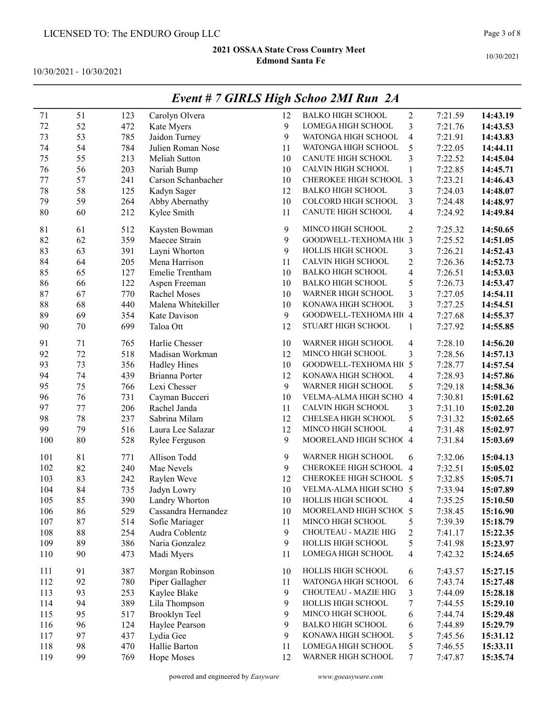10/30/2021 - 10/30/2021

|     |    |     |                     |    | $L$ <i>rcht</i> $\theta$ / <b>GIALS</b> $H$ igh Schoo $2m$ Kun $2\pi$ |                          |         |          |
|-----|----|-----|---------------------|----|-----------------------------------------------------------------------|--------------------------|---------|----------|
| 71  | 51 | 123 | Carolyn Olvera      | 12 | <b>BALKO HIGH SCHOOL</b>                                              | $\overline{c}$           | 7:21.59 | 14:43.19 |
| 72  | 52 | 472 | Kate Myers          | 9  | LOMEGA HIGH SCHOOL                                                    | 3                        | 7:21.76 | 14:43.53 |
| 73  | 53 | 785 | Jaidon Turney       | 9  | WATONGA HIGH SCHOOL                                                   | 4                        | 7:21.91 | 14:43.83 |
| 74  | 54 | 784 | Julien Roman Nose   | 11 | WATONGA HIGH SCHOOL                                                   | 5                        | 7:22.05 | 14:44.11 |
| 75  | 55 | 213 | Meliah Sutton       | 10 | CANUTE HIGH SCHOOL                                                    | 3                        | 7:22.52 | 14:45.04 |
| 76  | 56 | 203 | Nariah Bump         | 10 | CALVIN HIGH SCHOOL                                                    | $\mathbf{1}$             | 7:22.85 | 14:45.71 |
| 77  | 57 | 241 | Carson Schanbacher  | 10 | CHEROKEE HIGH SCHOOL                                                  | 3                        | 7:23.21 | 14:46.43 |
| 78  | 58 | 125 | Kadyn Sager         | 12 | <b>BALKO HIGH SCHOOL</b>                                              | 3                        | 7:24.03 | 14:48.07 |
| 79  | 59 | 264 | Abby Abernathy      | 10 | COLCORD HIGH SCHOOL                                                   | 3                        | 7:24.48 | 14:48.97 |
| 80  | 60 | 212 | Kylee Smith         | 11 | CANUTE HIGH SCHOOL                                                    | $\overline{\mathbf{4}}$  | 7:24.92 | 14:49.84 |
| 81  | 61 | 512 | Kaysten Bowman      | 9  | MINCO HIGH SCHOOL                                                     | $\mathbf{2}$             | 7:25.32 | 14:50.65 |
| 82  | 62 | 359 | Maecee Strain       | 9  | GOODWELL-TEXHOMA HI( 3                                                |                          | 7:25.52 | 14:51.05 |
| 83  | 63 | 391 | Layni Whorton       | 9  | HOLLIS HIGH SCHOOL                                                    | 3                        | 7:26.21 | 14:52.43 |
| 84  | 64 | 205 | Mena Harrison       | 11 | CALVIN HIGH SCHOOL                                                    | $\overline{2}$           | 7:26.36 | 14:52.73 |
| 85  | 65 | 127 | Emelie Trentham     | 10 | <b>BALKO HIGH SCHOOL</b>                                              | $\overline{4}$           | 7:26.51 | 14:53.03 |
| 86  | 66 | 122 | Aspen Freeman       | 10 | <b>BALKO HIGH SCHOOL</b>                                              | 5                        | 7:26.73 | 14:53.47 |
| 87  | 67 | 770 | Rachel Moses        | 10 | WARNER HIGH SCHOOL                                                    | 3                        | 7:27.05 | 14:54.11 |
| 88  | 68 | 440 | Malena Whitekiller  | 10 | KONAWA HIGH SCHOOL                                                    | 3                        | 7:27.25 | 14:54.51 |
| 89  | 69 | 354 | Kate Davison        | 9  | GOODWELL-TEXHOMA HI( 4                                                |                          | 7:27.68 | 14:55.37 |
| 90  | 70 | 699 | Taloa Ott           | 12 | STUART HIGH SCHOOL                                                    | 1                        | 7:27.92 | 14:55.85 |
| 91  | 71 | 765 | Harlie Chesser      | 10 | WARNER HIGH SCHOOL                                                    | 4                        | 7:28.10 | 14:56.20 |
| 92  | 72 | 518 | Madisan Workman     | 12 | MINCO HIGH SCHOOL                                                     | 3                        | 7:28.56 | 14:57.13 |
| 93  | 73 | 356 | <b>Hadley Hines</b> | 10 | GOODWELL-TEXHOMA HI(                                                  | 5                        | 7:28.77 | 14:57.54 |
| 94  | 74 | 439 | Brianna Porter      | 12 | KONAWA HIGH SCHOOL                                                    | $\overline{\mathcal{A}}$ | 7:28.93 | 14:57.86 |
| 95  | 75 | 766 | Lexi Chesser        | 9  | WARNER HIGH SCHOOL                                                    | 5                        | 7:29.18 | 14:58.36 |
| 96  | 76 | 731 | Cayman Bucceri      | 10 | VELMA-ALMA HIGH SCHO                                                  | $\overline{4}$           | 7:30.81 | 15:01.62 |
| 97  | 77 | 206 | Rachel Janda        | 11 | CALVIN HIGH SCHOOL                                                    | 3                        | 7:31.10 | 15:02.20 |
| 98  | 78 | 237 | Sabrina Milam       | 12 | CHELSEA HIGH SCHOOL                                                   | 5                        | 7:31.32 | 15:02.65 |
| 99  | 79 | 516 | Laura Lee Salazar   | 12 | MINCO HIGH SCHOOL                                                     | $\overline{\mathcal{A}}$ | 7:31.48 | 15:02.97 |
| 100 | 80 | 528 | Rylee Ferguson      | 9  | MOORELAND HIGH SCHOC 4                                                |                          | 7:31.84 | 15:03.69 |
| 101 | 81 | 771 | Allison Todd        | 9  | WARNER HIGH SCHOOL                                                    | 6                        | 7:32.06 | 15:04.13 |
| 102 | 82 | 240 | Mae Nevels          | 9  | CHEROKEE HIGH SCHOOL 4                                                |                          | 7:32.51 | 15:05.02 |
| 103 | 83 | 242 | Raylen Weve         | 12 | CHEROKEE HIGH SCHOOL 5                                                |                          | 7:32.85 | 15:05.71 |
| 104 | 84 | 735 | Jadyn Lowry         | 10 | VELMA-ALMA HIGH SCHO 5                                                |                          | 7:33.94 | 15:07.89 |
| 105 | 85 | 390 | Landry Whorton      | 10 | HOLLIS HIGH SCHOOL                                                    | 4                        | 7:35.25 | 15:10.50 |
| 106 | 86 | 529 | Cassandra Hernandez | 10 | MOORELAND HIGH SCHOC 5                                                |                          | 7:38.45 | 15:16.90 |
| 107 | 87 | 514 | Sofie Mariager      | 11 | MINCO HIGH SCHOOL                                                     | 5                        | 7:39.39 | 15:18.79 |
| 108 | 88 | 254 | Audra Coblentz      | 9  | CHOUTEAU - MAZIE HIG                                                  | $\overline{c}$           | 7:41.17 | 15:22.35 |
| 109 | 89 | 386 | Naria Gonzalez      | 9  | HOLLIS HIGH SCHOOL                                                    | 5                        | 7:41.98 | 15:23.97 |
| 110 | 90 | 473 | Madi Myers          | 11 | LOMEGA HIGH SCHOOL                                                    | $\overline{\mathcal{A}}$ | 7:42.32 | 15:24.65 |
| 111 | 91 | 387 | Morgan Robinson     | 10 | HOLLIS HIGH SCHOOL                                                    | 6                        | 7:43.57 | 15:27.15 |
| 112 | 92 | 780 | Piper Gallagher     | 11 | WATONGA HIGH SCHOOL                                                   | 6                        | 7:43.74 | 15:27.48 |
| 113 | 93 | 253 | Kaylee Blake        | 9  | CHOUTEAU - MAZIE HIG                                                  | 3                        | 7:44.09 | 15:28.18 |
| 114 | 94 | 389 | Lila Thompson       | 9  | HOLLIS HIGH SCHOOL                                                    | 7                        | 7:44.55 | 15:29.10 |
| 115 | 95 | 517 | Brooklyn Teel       | 9  | MINCO HIGH SCHOOL                                                     | 6                        | 7:44.74 | 15:29.48 |
| 116 | 96 | 124 | Haylee Pearson      | 9  | <b>BALKO HIGH SCHOOL</b>                                              | 6                        | 7:44.89 | 15:29.79 |
| 117 | 97 | 437 | Lydia Gee           | 9  | KONAWA HIGH SCHOOL                                                    | 5                        | 7:45.56 | 15:31.12 |
| 118 | 98 | 470 | Hallie Barton       | 11 | LOMEGA HIGH SCHOOL                                                    | 5                        | 7:46.55 | 15:33.11 |
| 119 | 99 | 769 | Hope Moses          | 12 | WARNER HIGH SCHOOL                                                    | 7                        | 7:47.87 | 15:35.74 |

## Event # 7 GIRLS High Schoo 2MI Run 2A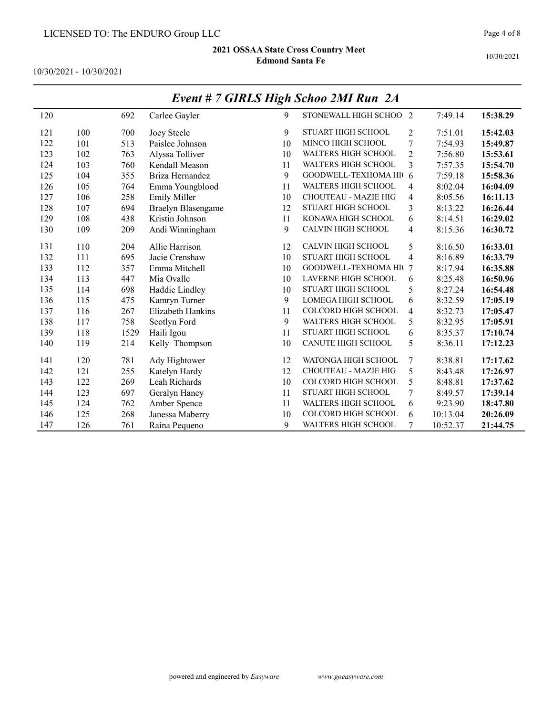10/30/2021 - 10/30/2021

|     |     |      |                           |    | $L$ <i>real</i> $\pi$ / <b>GTALS</b> $H$ $g$ <sup><math>\mu</math></sup> $g$ <i>choo</i> $2m$ Kun $2\pi$ |                |          |          |
|-----|-----|------|---------------------------|----|----------------------------------------------------------------------------------------------------------|----------------|----------|----------|
| 120 |     | 692  | Carlee Gayler             | 9  | STONEWALL HIGH SCHOO 2                                                                                   |                | 7:49.14  | 15:38.29 |
| 121 | 100 | 700  | Joey Steele               | 9  | STUART HIGH SCHOOL                                                                                       | 2              | 7:51.01  | 15:42.03 |
| 122 | 101 | 513  | Paislee Johnson           | 10 | MINCO HIGH SCHOOL                                                                                        | 7              | 7:54.93  | 15:49.87 |
| 123 | 102 | 763  | Alyssa Tolliver           | 10 | <b>WALTERS HIGH SCHOOL</b>                                                                               | $\overline{2}$ | 7:56.80  | 15:53.61 |
| 124 | 103 | 760  | Kendall Meason            | 11 | <b>WALTERS HIGH SCHOOL</b>                                                                               | 3              | 7:57.35  | 15:54.70 |
| 125 | 104 | 355  | Briza Hernandez           | 9  | GOODWELL-TEXHOMA HI( 6                                                                                   |                | 7:59.18  | 15:58.36 |
| 126 | 105 | 764  | Emma Youngblood           | 11 | <b>WALTERS HIGH SCHOOL</b>                                                                               | 4              | 8:02.04  | 16:04.09 |
| 127 | 106 | 258  | <b>Emily Miller</b>       | 10 | <b>CHOUTEAU - MAZIE HIG</b>                                                                              | 4              | 8:05.56  | 16:11.13 |
| 128 | 107 | 694  | <b>Braelyn Blasengame</b> | 12 | <b>STUART HIGH SCHOOL</b>                                                                                | 3              | 8:13.22  | 16:26.44 |
| 129 | 108 | 438  | Kristin Johnson           | 11 | KONAWA HIGH SCHOOL                                                                                       | 6              | 8:14.51  | 16:29.02 |
| 130 | 109 | 209  | Andi Winningham           | 9  | CALVIN HIGH SCHOOL                                                                                       | $\overline{4}$ | 8:15.36  | 16:30.72 |
| 131 | 110 | 204  | Allie Harrison            | 12 | CALVIN HIGH SCHOOL                                                                                       | 5              | 8:16.50  | 16:33.01 |
| 132 | 111 | 695  | Jacie Crenshaw            | 10 | <b>STUART HIGH SCHOOL</b>                                                                                | $\overline{4}$ | 8:16.89  | 16:33.79 |
| 133 | 112 | 357  | Emma Mitchell             | 10 | GOODWELL-TEXHOMA HIO                                                                                     | 7              | 8:17.94  | 16:35.88 |
| 134 | 113 | 447  | Mia Ovalle                | 10 | <b>LAVERNE HIGH SCHOOL</b>                                                                               | 6              | 8:25.48  | 16:50.96 |
| 135 | 114 | 698  | Haddie Lindley            | 10 | <b>STUART HIGH SCHOOL</b>                                                                                | 5              | 8:27.24  | 16:54.48 |
| 136 | 115 | 475  | Kamryn Turner             | 9  | <b>LOMEGA HIGH SCHOOL</b>                                                                                | 6              | 8:32.59  | 17:05.19 |
| 137 | 116 | 267  | Elizabeth Hankins         | 11 | COLCORD HIGH SCHOOL                                                                                      | $\overline{4}$ | 8:32.73  | 17:05.47 |
| 138 | 117 | 758  | Scotlyn Ford              | 9  | WALTERS HIGH SCHOOL                                                                                      | 5              | 8:32.95  | 17:05.91 |
| 139 | 118 | 1529 | Haili Igou                | 11 | STUART HIGH SCHOOL                                                                                       | 6              | 8:35.37  | 17:10.74 |
| 140 | 119 | 214  | Kelly Thompson            | 10 | <b>CANUTE HIGH SCHOOL</b>                                                                                | 5              | 8:36.11  | 17:12.23 |
| 141 | 120 | 781  | Ady Hightower             | 12 | WATONGA HIGH SCHOOL                                                                                      | 7              | 8:38.81  | 17:17.62 |
| 142 | 121 | 255  | Katelyn Hardy             | 12 | <b>CHOUTEAU - MAZIE HIG</b>                                                                              | 5              | 8:43.48  | 17:26.97 |
| 143 | 122 | 269  | Leah Richards             | 10 | COLCORD HIGH SCHOOL                                                                                      | 5              | 8:48.81  | 17:37.62 |
| 144 | 123 | 697  | Geralyn Haney             | 11 | <b>STUART HIGH SCHOOL</b>                                                                                | 7              | 8:49.57  | 17:39.14 |
| 145 | 124 | 762  | Amber Spence              | 11 | <b>WALTERS HIGH SCHOOL</b>                                                                               | 6              | 9:23.90  | 18:47.80 |
| 146 | 125 | 268  | Janessa Maberry           | 10 | <b>COLCORD HIGH SCHOOL</b>                                                                               | 6              | 10:13.04 | 20:26.09 |
| 147 | 126 | 761  | Raina Pequeno             | 9  | <b>WALTERS HIGH SCHOOL</b>                                                                               | 7              | 10:52.37 | 21:44.75 |

# Event # 7 GIRLS High Schoo 2MI Run 2A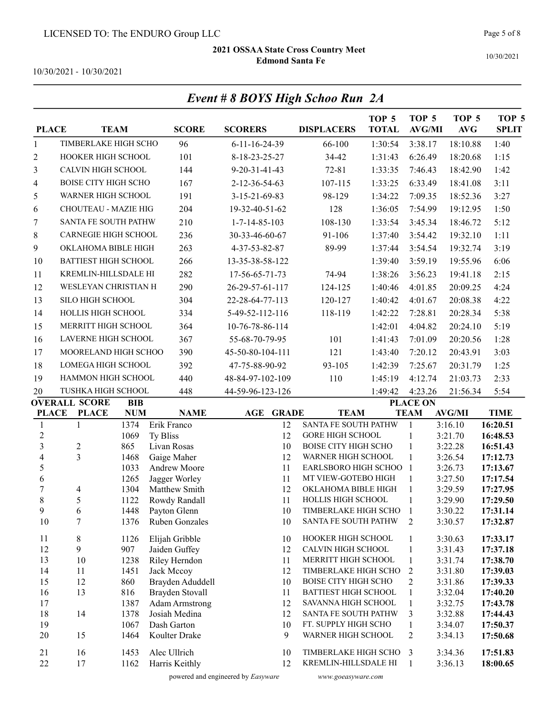Event # 8 BOYS High Schoo Run 2A

10/30/2021

10/30/2021 - 10/30/2021

| <b>PLACE</b>                 |                             | <b>TEAM</b> | <b>SCORE</b>                | <b>SCORERS</b>             | <b>DISPLACERS</b>                                   | TOP <sub>5</sub><br><b>TOTAL</b> | TOP <sub>5</sub><br><b>AVG/MI</b> | TOP <sub>5</sub><br>AVG | TOP <sub>5</sub><br><b>SPLIT</b> |
|------------------------------|-----------------------------|-------------|-----------------------------|----------------------------|-----------------------------------------------------|----------------------------------|-----------------------------------|-------------------------|----------------------------------|
| $\mathbf{1}$                 | TIMBERLAKE HIGH SCHO        |             | 96                          | $6 - 11 - 16 - 24 - 39$    | 66-100                                              | 1:30:54                          | 3:38.17                           | 18:10.88                | 1:40                             |
| $\overline{c}$               | HOOKER HIGH SCHOOL          |             | 101                         | 8-18-23-25-27              | 34-42                                               | 1:31:43                          | 6:26.49                           | 18:20.68                | 1:15                             |
| 3                            | <b>CALVIN HIGH SCHOOL</b>   |             | 144                         | $9 - 20 - 31 - 41 - 43$    | $72 - 81$                                           | 1:33:35                          | 7:46.43                           | 18:42.90                | 1:42                             |
| 4                            | <b>BOISE CITY HIGH SCHO</b> |             | 167                         | 2-12-36-54-63              | 107-115                                             | 1:33:25                          | 6:33.49                           | 18:41.08                | 3:11                             |
| 5                            | WARNER HIGH SCHOOL          |             | 191                         | 3-15-21-69-83              | 98-129                                              | 1:34:22                          | 7:09.35                           | 18:52.36                | 3:27                             |
| 6                            | CHOUTEAU - MAZIE HIG        |             | 204                         | 19-32-40-51-62             | 128                                                 | 1:36:05                          | 7:54.99                           | 19:12.95                | 1:50                             |
| 7                            | SANTA FE SOUTH PATHW        |             | 210                         | $1 - 7 - 14 - 85 - 103$    | 108-130                                             | 1:33:54                          | 3:45.34                           | 18:46.72                | 5:12                             |
| 8                            | <b>CARNEGIE HIGH SCHOOL</b> |             | 236                         | 30-33-46-60-67             | 91-106                                              | 1:37:40                          | 3:54.42                           | 19:32.10                | 1:11                             |
| 9                            | OKLAHOMA BIBLE HIGH         |             | 263                         | 4-37-53-82-87              | 89-99                                               | 1:37:44                          | 3:54.54                           | 19:32.74                | 3:19                             |
| 10                           | <b>BATTIEST HIGH SCHOOL</b> |             | 266                         | 13-35-38-58-122            |                                                     | 1:39:40                          | 3:59.19                           | 19:55.96                | 6:06                             |
|                              | KREMLIN-HILLSDALE HI        |             |                             |                            |                                                     |                                  |                                   | 19:41.18                |                                  |
| 11                           |                             |             | 282                         | 17-56-65-71-73             | 74-94                                               | 1:38:26                          | 3:56.23                           |                         | 2:15                             |
| 12                           | WESLEYAN CHRISTIAN H        |             | 290                         | 26-29-57-61-117            | 124-125                                             | 1:40:46                          | 4:01.85                           | 20:09.25                | 4:24                             |
| 13                           | SILO HIGH SCHOOL            |             | 304                         | 22-28-64-77-113            | 120-127                                             | 1:40:42                          | 4:01.67                           | 20:08.38                | 4:22                             |
| 14                           | HOLLIS HIGH SCHOOL          |             | 334                         | 5-49-52-112-116            | 118-119                                             | 1:42:22                          | 7:28.81                           | 20:28.34                | 5:38                             |
| 15                           | MERRITT HIGH SCHOOL         |             | 364                         | 10-76-78-86-114            |                                                     | 1:42:01                          | 4:04.82                           | 20:24.10                | 5:19                             |
| 16                           | <b>LAVERNE HIGH SCHOOL</b>  |             | 367                         | 55-68-70-79-95             | 101                                                 | 1:41:43                          | 7:01.09                           | 20:20.56                | 1:28                             |
| 17                           | MOORELAND HIGH SCHOO        |             | 390                         | 45-50-80-104-111           | 121                                                 | 1:43:40                          | 7:20.12                           | 20:43.91                | 3:03                             |
| 18                           | <b>LOMEGA HIGH SCHOOL</b>   |             | 392                         | 47-75-88-90-92             | 93-105                                              | 1:42:39                          | 7:25.67                           | 20:31.79                | 1:25                             |
| 19                           | HAMMON HIGH SCHOOL          |             | 440                         | 48-84-97-102-109           | 110                                                 | 1:45:19                          | 4:12.74                           | 21:03.73                | 2:33                             |
| 20                           | TUSHKA HIGH SCHOOL          |             | 448                         | 44-59-96-123-126           |                                                     | 1:49:42                          | 4:23.26                           | 21:56.34                | 5:54                             |
|                              | <b>OVERALL SCORE</b>        | <b>BIB</b>  |                             |                            |                                                     |                                  | <b>PLACE ON</b>                   |                         |                                  |
| <b>PLACE</b>                 | <b>PLACE</b>                | <b>NUM</b>  | <b>NAME</b>                 | <b>AGE</b><br><b>GRADE</b> | <b>TEAM</b>                                         |                                  | <b>TEAM</b>                       | <b>AVG/MI</b>           | <b>TIME</b>                      |
| $\mathbf{1}$                 | $\mathbf{1}$                | 1374        | Erik Franco                 | 12<br>12                   | SANTA FE SOUTH PATHW<br><b>GORE HIGH SCHOOL</b>     |                                  | $\mathbf{1}$                      | 3:16.10                 | 16:20.51                         |
| $\sqrt{2}$<br>$\overline{3}$ | $\overline{c}$              | 1069<br>865 | Ty Bliss<br>Livan Rosas     | 10                         | <b>BOISE CITY HIGH SCHO</b>                         |                                  | 1<br>$\mathbf{1}$                 | 3:21.70<br>3:22.28      | 16:48.53<br>16:51.43             |
| $\overline{4}$               | 3                           | 1468        | Gaige Maher                 | 12                         | WARNER HIGH SCHOOL                                  |                                  | $\mathbf{1}$                      | 3:26.54                 | 17:12.73                         |
| 5                            |                             | 1033        | Andrew Moore                | 11                         | EARLSBORO HIGH SCHOO                                |                                  | $\mathbf{1}$                      | 3:26.73                 | 17:13.67                         |
| 6                            |                             | 1265        | Jagger Worley               | 11                         | MT VIEW-GOTEBO HIGH                                 |                                  | 1                                 | 3:27.50                 | 17:17.54                         |
| $\sqrt{ }$                   | 4                           | 1304        | Matthew Smith               | 12                         | OKLAHOMA BIBLE HIGH                                 |                                  | $\mathbf{1}$                      | 3:29.59                 | 17:27.95                         |
| 8                            | 5                           | 1122        | Rowdy Randall               | 11                         | HOLLIS HIGH SCHOOL                                  |                                  | 1                                 | 3:29.90                 | 17:29.50                         |
| 9                            | 6<br>7                      | 1448        | Payton Glenn                | 10                         | TIMBERLAKE HIGH SCHO<br>SANTA FE SOUTH PATHW        |                                  | $\mathbf{1}$<br>$\sqrt{2}$        | 3:30.22                 | 17:31.14                         |
| 10                           |                             | 1376        | Ruben Gonzales              | 10                         |                                                     |                                  |                                   | 3:30.57                 | 17:32.87                         |
| 11                           | 8                           | 1126        | Elijah Gribble              | 10                         | HOOKER HIGH SCHOOL                                  |                                  | $\mathbf{1}$                      | 3:30.63                 | 17:33.17                         |
| 12                           | 9                           | 907         | Jaiden Guffey               | 12                         | CALVIN HIGH SCHOOL                                  |                                  | $\mathbf{1}$                      | 3:31.43                 | 17:37.18                         |
| 13<br>14                     | 10                          | 1238        | Riley Herndon<br>Jack Mccoy | 11                         | MERRITT HIGH SCHOOL                                 |                                  | $\mathbf{1}$                      | 3:31.74                 | 17:38.70                         |
| 15                           | 11<br>12                    | 1451<br>860 | Brayden Aduddell            | 12<br>10                   | TIMBERLAKE HIGH SCHO<br><b>BOISE CITY HIGH SCHO</b> |                                  | $\overline{2}$<br>$\overline{c}$  | 3:31.80<br>3:31.86      | 17:39.03<br>17:39.33             |
| 16                           | 13                          | 816         | Brayden Stovall             | 11                         | <b>BATTIEST HIGH SCHOOL</b>                         |                                  | $\mathbf{1}$                      | 3:32.04                 | 17:40.20                         |
| 17                           |                             | 1387        | <b>Adam Armstrong</b>       | 12                         | SAVANNA HIGH SCHOOL                                 |                                  | $\mathbf{1}$                      | 3:32.75                 | 17:43.78                         |
| 18                           | 14                          | 1378        | Josiah Medina               | 12                         | SANTA FE SOUTH PATHW                                |                                  | 3                                 | 3:32.88                 | 17:44.43                         |
| 19                           |                             | 1067        | Dash Garton                 | 10                         | FT. SUPPLY HIGH SCHO                                |                                  | $\mathbf{1}$                      | 3:34.07                 | 17:50.37                         |
| $20\,$                       | 15                          | 1464        | Koulter Drake               | 9                          | WARNER HIGH SCHOOL                                  |                                  | $\overline{2}$                    | 3:34.13                 | 17:50.68                         |
| 21                           | 16                          | 1453        | Alec Ullrich                | 10                         | TIMBERLAKE HIGH SCHO                                |                                  | 3                                 | 3:34.36                 | 17:51.83                         |
| 22                           | 17                          | 1162        | Harris Keithly              | 12                         | KREMLIN-HILLSDALE HI                                |                                  | $\mathbf{1}$                      | 3:36.13                 | 18:00.65                         |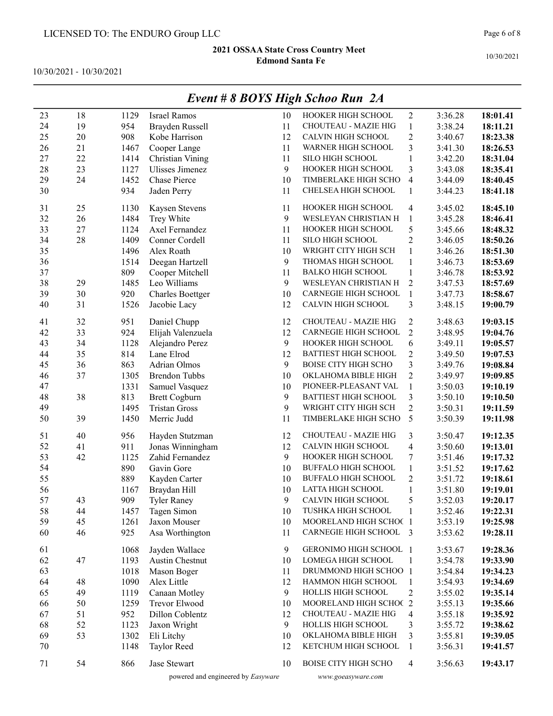10/30/2021 - 10/30/2021

|    |        |      |                         |    | $L$ rent $\pi$ o DOTS High Schoo Kun $2\pi$ |                         |         |          |
|----|--------|------|-------------------------|----|---------------------------------------------|-------------------------|---------|----------|
| 23 | 18     | 1129 | <b>Israel Ramos</b>     | 10 | HOOKER HIGH SCHOOL                          | $\overline{2}$          | 3:36.28 | 18:01.41 |
| 24 | 19     | 954  | Brayden Russell         | 11 | CHOUTEAU - MAZIE HIG                        | $\mathbf{1}$            | 3:38.24 | 18:11.21 |
| 25 | 20     | 908  | Kobe Harrison           | 12 | CALVIN HIGH SCHOOL                          | $\overline{2}$          | 3:40.67 | 18:23.38 |
| 26 | 21     | 1467 | Cooper Lange            | 11 | WARNER HIGH SCHOOL                          | 3                       | 3:41.30 | 18:26.53 |
| 27 | 22     | 1414 | Christian Vining        | 11 | SILO HIGH SCHOOL                            | $\mathbf{1}$            | 3:42.20 | 18:31.04 |
| 28 | 23     | 1127 | Ulisses Jimenez         | 9  | HOOKER HIGH SCHOOL                          | 3                       | 3:43.08 | 18:35.41 |
| 29 | 24     | 1452 | Chase Pierce            | 10 | TIMBERLAKE HIGH SCHO                        | $\overline{4}$          | 3:44.09 | 18:40.45 |
| 30 |        | 934  | Jaden Perry             | 11 | CHELSEA HIGH SCHOOL                         | $\mathbf{1}$            | 3:44.23 | 18:41.18 |
|    |        |      |                         |    |                                             |                         |         |          |
| 31 | 25     | 1130 | Kaysen Stevens          | 11 | HOOKER HIGH SCHOOL                          | 4                       | 3:45.02 | 18:45.10 |
| 32 | 26     | 1484 | Trey White              | 9  | WESLEYAN CHRISTIAN H                        | $\mathbf{1}$            | 3:45.28 | 18:46.41 |
| 33 | $27\,$ | 1124 | Axel Fernandez          | 11 | HOOKER HIGH SCHOOL                          | 5                       | 3:45.66 | 18:48.32 |
| 34 | 28     | 1409 | Conner Cordell          | 11 | SILO HIGH SCHOOL                            | $\overline{2}$          | 3:46.05 | 18:50.26 |
| 35 |        | 1496 | Alex Roath              | 10 | WRIGHT CITY HIGH SCH                        | $\mathbf{1}$            | 3:46.26 | 18:51.30 |
| 36 |        | 1514 | Deegan Hartzell         | 9  | THOMAS HIGH SCHOOL                          | $\,1$                   | 3:46.73 | 18:53.69 |
| 37 |        | 809  | Cooper Mitchell         | 11 | <b>BALKO HIGH SCHOOL</b>                    | $\mathbf{1}$            | 3:46.78 | 18:53.92 |
| 38 | 29     | 1485 | Leo Williams            | 9  | WESLEYAN CHRISTIAN H                        | $\boldsymbol{2}$        | 3:47.53 | 18:57.69 |
| 39 | 30     | 920  | <b>Charles Boettger</b> | 10 | CARNEGIE HIGH SCHOOL                        | $\mathbf{1}$            | 3:47.73 | 18:58.67 |
| 40 | 31     | 1526 | Jacobie Lacy            | 12 | CALVIN HIGH SCHOOL                          | 3                       | 3:48.15 | 19:00.79 |
|    |        |      |                         |    |                                             |                         |         |          |
| 41 | 32     | 951  | Daniel Chupp            | 12 | CHOUTEAU - MAZIE HIG                        | $\overline{2}$          | 3:48.63 | 19:03.15 |
| 42 | 33     | 924  | Elijah Valenzuela       | 12 | CARNEGIE HIGH SCHOOL                        | $\overline{2}$          | 3:48.95 | 19:04.76 |
| 43 | 34     | 1128 | Alejandro Perez         | 9  | HOOKER HIGH SCHOOL                          | 6                       | 3:49.11 | 19:05.57 |
| 44 | 35     | 814  | Lane Elrod              | 12 | <b>BATTIEST HIGH SCHOOL</b>                 | $\overline{2}$          | 3:49.50 | 19:07.53 |
| 45 | 36     | 863  | Adrian Olmos            | 9  | <b>BOISE CITY HIGH SCHO</b>                 | $\mathfrak{Z}$          | 3:49.76 | 19:08.84 |
| 46 | 37     | 1305 | <b>Brendon Tubbs</b>    | 10 | OKLAHOMA BIBLE HIGH                         | $\overline{c}$          | 3:49.97 | 19:09.85 |
| 47 |        | 1331 | Samuel Vasquez          | 10 | PIONEER-PLEASANT VAL                        | $\,1$                   | 3:50.03 | 19:10.19 |
| 48 | 38     | 813  | <b>Brett Cogburn</b>    | 9  | <b>BATTIEST HIGH SCHOOL</b>                 | $\mathfrak{Z}$          | 3:50.10 | 19:10.50 |
| 49 |        | 1495 | <b>Tristan Gross</b>    | 9  | WRIGHT CITY HIGH SCH                        | $\overline{2}$          | 3:50.31 | 19:11.59 |
| 50 | 39     | 1450 | Merric Judd             | 11 | TIMBERLAKE HIGH SCHO                        | 5                       | 3:50.39 | 19:11.98 |
| 51 | 40     | 956  | Hayden Stutzman         | 12 | CHOUTEAU - MAZIE HIG                        | 3                       | 3:50.47 | 19:12.35 |
| 52 | 41     | 911  | Jonas Winningham        | 12 | CALVIN HIGH SCHOOL                          | $\overline{\mathbf{4}}$ | 3:50.60 | 19:13.01 |
| 53 | 42     | 1125 | Zahid Fernandez         | 9  | HOOKER HIGH SCHOOL                          | 7                       | 3:51.46 | 19:17.32 |
| 54 |        | 890  | Gavin Gore              | 10 | <b>BUFFALO HIGH SCHOOL</b>                  | $\mathbf{1}$            | 3:51.52 | 19:17.62 |
| 55 |        | 889  | Kayden Carter           | 10 | <b>BUFFALO HIGH SCHOOL</b>                  | $\mathbf{2}$            | 3:51.72 | 19:18.61 |
| 56 |        | 1167 | Braydan Hill            | 10 | LATTA HIGH SCHOOL                           | $\mathbf{1}$            | 3:51.80 | 19:19.01 |
| 57 | 43     | 909  | <b>Tyler Raney</b>      | 9  | CALVIN HIGH SCHOOL                          | 5                       | 3:52.03 | 19:20.17 |
| 58 | 44     | 1457 | Tagen Simon             | 10 | TUSHKA HIGH SCHOOL                          | 1                       | 3:52.46 | 19:22.31 |
| 59 | 45     | 1261 | Jaxon Mouser            | 10 | MOORELAND HIGH SCHOC 1                      |                         | 3:53.19 | 19:25.98 |
| 60 | 46     | 925  | Asa Worthington         | 11 | CARNEGIE HIGH SCHOOL 3                      |                         | 3:53.62 | 19:28.11 |
|    |        |      |                         |    |                                             |                         |         |          |
| 61 |        | 1068 | Jayden Wallace          | 9  | GERONIMO HIGH SCHOOL 1                      |                         | 3:53.67 | 19:28.36 |
| 62 | 47     | 1193 | Austin Chestnut         | 10 | LOMEGA HIGH SCHOOL                          | $\mathbf{1}$            | 3:54.78 | 19:33.90 |
| 63 |        | 1018 | Mason Boger             | 11 | DRUMMOND HIGH SCHOO 1                       |                         | 3:54.84 | 19:34.23 |
| 64 | 48     | 1090 | Alex Little             | 12 | HAMMON HIGH SCHOOL                          | 1                       | 3:54.93 | 19:34.69 |
| 65 | 49     | 1119 | Canaan Motley           | 9  | HOLLIS HIGH SCHOOL                          | $\overline{c}$          | 3:55.02 | 19:35.14 |
| 66 | 50     | 1259 | Trevor Elwood           | 10 | MOORELAND HIGH SCHOC 2                      |                         | 3:55.13 | 19:35.66 |
| 67 | 51     | 952  | Dillon Coblentz         | 12 | CHOUTEAU - MAZIE HIG                        | 4                       | 3:55.18 | 19:35.92 |
| 68 | 52     | 1123 | Jaxon Wright            | 9  | HOLLIS HIGH SCHOOL                          | 3                       | 3:55.72 | 19:38.62 |
| 69 | 53     | 1302 | Eli Litchy              | 10 | OKLAHOMA BIBLE HIGH                         | 3                       | 3:55.81 | 19:39.05 |
| 70 |        | 1148 | Taylor Reed             | 12 | KETCHUM HIGH SCHOOL                         | $\mathbf{1}$            | 3:56.31 | 19:41.57 |
| 71 | 54     | 866  | Jase Stewart            | 10 | <b>BOISE CITY HIGH SCHO</b>                 | $\overline{4}$          | 3:56.63 | 19:43.17 |
|    |        |      |                         |    |                                             |                         |         |          |

## Event # 8 BOYS High Schoo Run 2A

powered and engineered by Easyware www.goeasyware.com

Page 6 of 8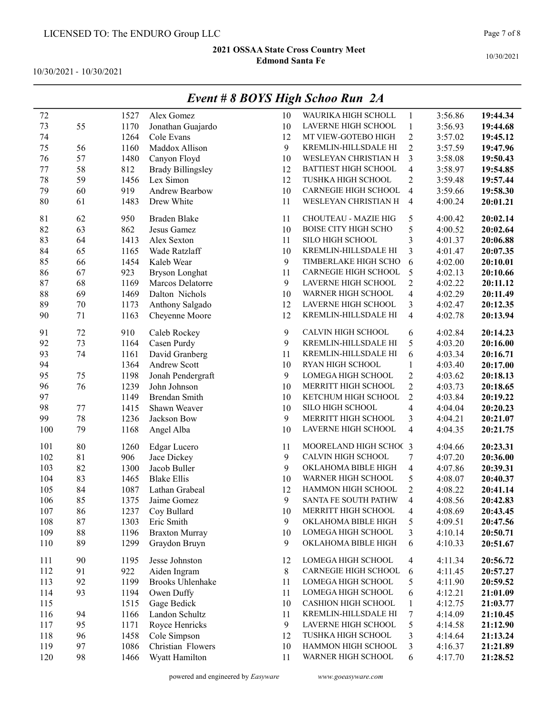10/30/2021 - 10/30/2021

|     |    |      |                          |       | $L$ veni # 0 DOTS 11ign Schoo Kun $2A$ |                          |         |          |
|-----|----|------|--------------------------|-------|----------------------------------------|--------------------------|---------|----------|
| 72  |    | 1527 | Alex Gomez               | 10    | WAURIKA HIGH SCHOLL                    | 1                        | 3:56.86 | 19:44.34 |
| 73  | 55 | 1170 | Jonathan Guajardo        | 10    | LAVERNE HIGH SCHOOL                    | $\mathbf{1}$             | 3:56.93 | 19:44.68 |
| 74  |    | 1264 | Cole Evans               | 12    | MT VIEW-GOTEBO HIGH                    | $\overline{c}$           | 3:57.02 | 19:45.12 |
| 75  | 56 | 1160 | Maddox Allison           | 9     | KREMLIN-HILLSDALE HI                   | $\overline{2}$           | 3:57.59 | 19:47.96 |
| 76  | 57 | 1480 | Canyon Floyd             | 10    | WESLEYAN CHRISTIAN H                   | 3                        | 3:58.08 | 19:50.43 |
| 77  | 58 | 812  | <b>Brady Billingsley</b> | 12    | <b>BATTIEST HIGH SCHOOL</b>            | $\overline{\mathbf{4}}$  | 3:58.97 | 19:54.85 |
| 78  | 59 | 1456 | Lex Simon                | 12    | TUSHKA HIGH SCHOOL                     | $\overline{2}$           | 3:59.48 | 19:57.44 |
| 79  | 60 | 919  | <b>Andrew Bearbow</b>    | 10    | CARNEGIE HIGH SCHOOL                   | $\overline{4}$           | 3:59.66 | 19:58.30 |
| 80  | 61 | 1483 | Drew White               | 11    | WESLEYAN CHRISTIAN H                   | $\overline{4}$           | 4:00.24 | 20:01.21 |
| 81  | 62 | 950  | Braden Blake             | 11    | CHOUTEAU - MAZIE HIG                   | 5                        | 4:00.42 | 20:02.14 |
| 82  | 63 | 862  | Jesus Gamez              | 10    | <b>BOISE CITY HIGH SCHO</b>            | 5                        | 4:00.52 | 20:02.64 |
| 83  | 64 | 1413 | Alex Sexton              | 11    | SILO HIGH SCHOOL                       | 3                        | 4:01.37 | 20:06.88 |
| 84  | 65 | 1165 | Wade Ratzlaff            | 10    | KREMLIN-HILLSDALE HI                   | 3                        | 4:01.47 | 20:07.35 |
| 85  | 66 | 1454 | Kaleb Wear               | 9     | TIMBERLAKE HIGH SCHO                   | 6                        | 4:02.00 | 20:10.01 |
| 86  | 67 | 923  | <b>Bryson Longhat</b>    | 11    | CARNEGIE HIGH SCHOOL                   | 5                        | 4:02.13 | 20:10.66 |
| 87  | 68 | 1169 | Marcos Delatorre         | 9     | LAVERNE HIGH SCHOOL                    | $\overline{2}$           | 4:02.22 | 20:11.12 |
| 88  | 69 | 1469 | Dalton Nichols           | 10    | WARNER HIGH SCHOOL                     | $\overline{\mathbf{4}}$  | 4:02.29 | 20:11.49 |
| 89  | 70 | 1173 | Anthony Salgado          | 12    | LAVERNE HIGH SCHOOL                    | 3                        | 4:02.47 | 20:12.35 |
| 90  | 71 | 1163 | Cheyenne Moore           | 12    | KREMLIN-HILLSDALE HI                   | $\overline{\mathbf{4}}$  | 4:02.78 | 20:13.94 |
| 91  | 72 | 910  | Caleb Rockey             | 9     | CALVIN HIGH SCHOOL                     | 6                        | 4:02.84 | 20:14.23 |
| 92  | 73 | 1164 | Casen Purdy              | 9     | KREMLIN-HILLSDALE HI                   | 5                        | 4:03.20 | 20:16.00 |
| 93  | 74 | 1161 | David Granberg           | 11    | KREMLIN-HILLSDALE HI                   | 6                        | 4:03.34 | 20:16.71 |
| 94  |    | 1364 | Andrew Scott             | 10    | RYAN HIGH SCHOOL                       | 1                        | 4:03.40 | 20:17.00 |
| 95  | 75 | 1198 | Jonah Pendergraft        | 9     | LOMEGA HIGH SCHOOL                     | $\overline{c}$           | 4:03.62 | 20:18.13 |
| 96  | 76 | 1239 | John Johnson             | 10    | MERRITT HIGH SCHOOL                    | $\overline{c}$           | 4:03.73 | 20:18.65 |
| 97  |    | 1149 | <b>Brendan Smith</b>     | 10    | KETCHUM HIGH SCHOOL                    | $\overline{2}$           | 4:03.84 | 20:19.22 |
| 98  | 77 | 1415 | Shawn Weaver             | 10    | SILO HIGH SCHOOL                       | $\overline{\mathcal{L}}$ | 4:04.04 | 20:20.23 |
| 99  | 78 | 1236 | Jackson Bow              | 9     | MERRITT HIGH SCHOOL                    | 3                        | 4:04.21 | 20:21.07 |
| 100 | 79 | 1168 | Angel Alba               | 10    | LAVERNE HIGH SCHOOL                    | $\overline{\mathcal{A}}$ | 4:04.35 | 20:21.75 |
| 101 | 80 | 1260 | <b>Edgar Lucero</b>      | 11    | MOORELAND HIGH SCHOC 3                 |                          | 4:04.66 | 20:23.31 |
| 102 | 81 | 906  | Jace Dickey              | 9     | CALVIN HIGH SCHOOL                     | 7                        | 4:07.20 | 20:36.00 |
| 103 | 82 | 1300 | Jacob Buller             | 9     | OKLAHOMA BIBLE HIGH                    | $\overline{\mathbf{4}}$  | 4:07.86 | 20:39.31 |
| 104 | 83 | 1465 | <b>Blake Ellis</b>       | 10    | WARNER HIGH SCHOOL                     | 5                        | 4:08.07 | 20:40.37 |
| 105 | 84 | 1087 | Lathan Grabeal           | 12    | HAMMON HIGH SCHOOL                     | $\overline{c}$           | 4:08.22 | 20:41.14 |
| 106 | 85 | 1375 | Jaime Gomez              | 9     | SANTA FE SOUTH PATHW                   | $\overline{4}$           | 4:08.56 | 20:42.83 |
| 107 | 86 | 1237 | Coy Bullard              | 10    | MERRITT HIGH SCHOOL                    | $\overline{4}$           | 4:08.69 | 20:43.45 |
| 108 | 87 | 1303 | Eric Smith               | 9     | OKLAHOMA BIBLE HIGH                    | 5                        | 4:09.51 | 20:47.56 |
| 109 | 88 | 1196 | <b>Braxton Murray</b>    | 10    | LOMEGA HIGH SCHOOL                     | 3                        | 4:10.14 | 20:50.71 |
| 110 | 89 | 1299 | Graydon Bruyn            | 9     | OKLAHOMA BIBLE HIGH                    | 6                        | 4:10.33 | 20:51.67 |
| 111 | 90 | 1195 | Jesse Johnston           | 12    | LOMEGA HIGH SCHOOL                     | 4                        | 4:11.34 | 20:56.72 |
| 112 | 91 | 922  | Aiden Ingram             | $8\,$ | CARNEGIE HIGH SCHOOL                   | 6                        | 4:11.45 | 20:57.27 |
| 113 | 92 | 1199 | <b>Brooks Uhlenhake</b>  | 11    | LOMEGA HIGH SCHOOL                     | 5                        | 4:11.90 | 20:59.52 |
| 114 | 93 | 1194 | Owen Duffy               | 11    | LOMEGA HIGH SCHOOL                     | 6                        | 4:12.21 | 21:01.09 |
| 115 |    | 1515 | Gage Bedick              | 10    | CASHION HIGH SCHOOL                    | $\mathbf{1}$             | 4:12.75 | 21:03.77 |
| 116 | 94 | 1166 | Landon Schultz           | 11    | KREMLIN-HILLSDALE HI                   | 7                        | 4:14.09 | 21:10.45 |
| 117 | 95 | 1171 | Royce Henricks           | 9     | LAVERNE HIGH SCHOOL                    | 5                        | 4:14.58 | 21:12.90 |
| 118 | 96 | 1458 | Cole Simpson             | 12    | TUSHKA HIGH SCHOOL                     | 3                        | 4:14.64 | 21:13.24 |
| 119 | 97 | 1086 | Christian Flowers        | 10    | HAMMON HIGH SCHOOL                     | 3                        | 4:16.37 | 21:21.89 |
| 120 | 98 | 1466 | Wyatt Hamilton           | 11    | WARNER HIGH SCHOOL                     | 6                        | 4:17.70 | 21:28.52 |

# Event # 8 BOYS High Schoo Run 2A